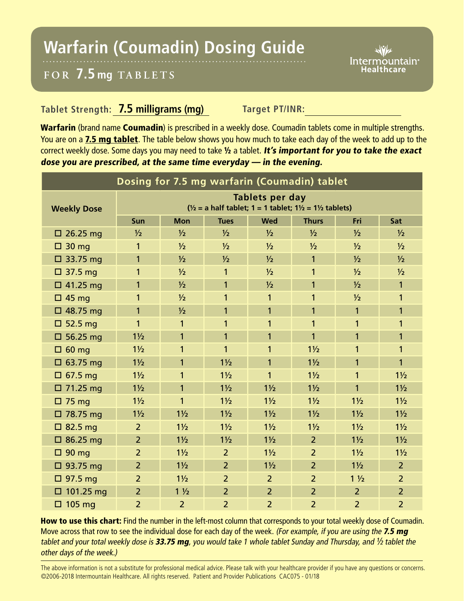## **Warfarin (Coumadin) Dosing Guide**

Intermountain<sup>®</sup> Healthcare

## **FOR 7.5 mg TABL ETS**

## **Tablet Strength: 7.5 milligrams (mg)** Target PT/INR:

Warfarin (brand name Coumadin) is prescribed in a weekly dose. Coumadin tablets come in multiple strengths. You are on a 7.5 mg tablet. The table below shows you how much to take each day of the week to add up to the correct weekly dose. Some days you may need to take 1/2 a tablet. It's important for you to take the exact dose you are prescribed, at the same time everyday — in the evening.

| Dosing for 7.5 mg warfarin (Coumadin) tablet |                                                                                                            |                |                |                |                |                |                |
|----------------------------------------------|------------------------------------------------------------------------------------------------------------|----------------|----------------|----------------|----------------|----------------|----------------|
| <b>Weekly Dose</b>                           | Tablets per day<br>$\frac{1}{2}$ = a half tablet; 1 = 1 tablet; 1 $\frac{1}{2}$ = 1 $\frac{1}{2}$ tablets) |                |                |                |                |                |                |
|                                              | Sun                                                                                                        | <b>Mon</b>     | <b>Tues</b>    | <b>Wed</b>     | <b>Thurs</b>   | Fri            | Sat            |
| $\square$ 26.25 mg                           | $\frac{1}{2}$                                                                                              | $\frac{1}{2}$  | $\frac{1}{2}$  | $\frac{1}{2}$  | $\frac{1}{2}$  | $\frac{1}{2}$  | $\frac{1}{2}$  |
| $\Box$ 30 mg                                 | $\mathbf{1}$                                                                                               | $\frac{1}{2}$  | $\frac{1}{2}$  | $\frac{1}{2}$  | $\frac{1}{2}$  | $\frac{1}{2}$  | $\frac{1}{2}$  |
| $\Box$ 33.75 mg                              | $\mathbf{1}$                                                                                               | $\frac{1}{2}$  | $\frac{1}{2}$  | $\frac{1}{2}$  | 1              | $\frac{1}{2}$  | $\frac{1}{2}$  |
| $\Box$ 37.5 mg                               | 1                                                                                                          | $\frac{1}{2}$  | 1              | $\frac{1}{2}$  | 1              | $\frac{1}{2}$  | $\frac{1}{2}$  |
| $\Box$ 41.25 mg                              | $\mathbf{1}$                                                                                               | $\frac{1}{2}$  | $\mathbf{1}$   | 1/2            | 1              | 1/2            | $\mathbf{1}$   |
| $\Box$ 45 mg                                 | 1                                                                                                          | $\frac{1}{2}$  | 1              | $\mathbf{1}$   | 1              | $\frac{1}{2}$  | 1              |
| $\Box$ 48.75 mg                              | $\mathbf{1}$                                                                                               | $\frac{1}{2}$  | $\mathbf{1}$   | $\mathbf{1}$   | 1              | $\mathbf{1}$   | 1              |
| $\Box$ 52.5 mg                               | 1                                                                                                          | 1              | 1              | 1              | 1              | 1              | 1              |
| $\square$ 56.25 mg                           | $1\frac{1}{2}$                                                                                             | $\mathbf{1}$   | 1              | 1              | 1              | 1              | 1              |
| $\Box$ 60 mg                                 | $1\frac{1}{2}$                                                                                             | $\mathbf{1}$   | $\mathbf{1}$   | $\mathbf{1}$   | $1\frac{1}{2}$ | 1              | 1              |
| $\Box$ 63.75 mg                              | $1\frac{1}{2}$                                                                                             | 1              | $1\frac{1}{2}$ | $\mathbf{1}$   | $1\frac{1}{2}$ | 1              | 1              |
| $\Box$ 67.5 mg                               | $1\frac{1}{2}$                                                                                             | $\mathbf{1}$   | $1\frac{1}{2}$ | 1              | $1\frac{1}{2}$ | 1              | $1\frac{1}{2}$ |
| $\Box$ 71.25 mg                              | $1\frac{1}{2}$                                                                                             | $\mathbf{1}$   | $1\frac{1}{2}$ | $1\frac{1}{2}$ | $1\frac{1}{2}$ | 1              | $1\frac{1}{2}$ |
| $\Box$ 75 mg                                 | $1\frac{1}{2}$                                                                                             | $\mathbf{1}$   | $1\frac{1}{2}$ | $1\frac{1}{2}$ | $1\frac{1}{2}$ | $1\frac{1}{2}$ | $1\frac{1}{2}$ |
| □ 78.75 mg                                   | $1\frac{1}{2}$                                                                                             | $1\frac{1}{2}$ | $1\frac{1}{2}$ | $1\frac{1}{2}$ | $1\frac{1}{2}$ | $1\frac{1}{2}$ | $1\frac{1}{2}$ |
| $\Box$ 82.5 mg                               | 2                                                                                                          | $1\frac{1}{2}$ | $1\frac{1}{2}$ | $1\frac{1}{2}$ | $1\frac{1}{2}$ | $1\frac{1}{2}$ | $1\frac{1}{2}$ |
| $\Box$ 86.25 mg                              | $\overline{2}$                                                                                             | $1\frac{1}{2}$ | $1\frac{1}{2}$ | $1\frac{1}{2}$ | $\overline{2}$ | $1\frac{1}{2}$ | $1\frac{1}{2}$ |
| $\Box$ 90 mg                                 | $\overline{2}$                                                                                             | $1\frac{1}{2}$ | $\overline{2}$ | $1\frac{1}{2}$ | $\overline{2}$ | $1\frac{1}{2}$ | $1\frac{1}{2}$ |
| $\Box$ 93.75 mg                              | $\overline{2}$                                                                                             | $1\frac{1}{2}$ | $\overline{2}$ | $1\frac{1}{2}$ | $\overline{2}$ | $1\frac{1}{2}$ | $\overline{2}$ |
| $\Box$ 97.5 mg                               | $\overline{2}$                                                                                             | $1\frac{1}{2}$ | $\overline{2}$ | $\overline{2}$ | $\overline{2}$ | $1\frac{1}{2}$ | $\overline{2}$ |
| $\Box$ 101.25 mg                             | $\overline{2}$                                                                                             | $1\frac{1}{2}$ | $\overline{2}$ | $\overline{2}$ | $\overline{2}$ | $\overline{2}$ | $\overline{2}$ |
| $\Box$ 105 mg                                | $\overline{2}$                                                                                             | $\overline{2}$ | $\overline{2}$ | $\overline{2}$ | $\overline{2}$ | $\overline{2}$ | $\overline{2}$ |

How to use this chart: Find the number in the left-most column that corresponds to your total weekly dose of Coumadin. Move across that row to see the individual dose for each day of the week. (For example, if you are using the 7.5 mg tablet and your total weekly dose is 33.75 mg, you would take 1 whole tablet Sunday and Thursday, and  $\frac{1}{2}$  tablet the other days of the week.)

The above information is not a substitute for professional medical advice. Please talk with your healthcare provider if you have any questions or concerns. ©2006-2018 Intermountain Healthcare. All rights reserved. Patient and Provider Publications CAC075 - 01/18